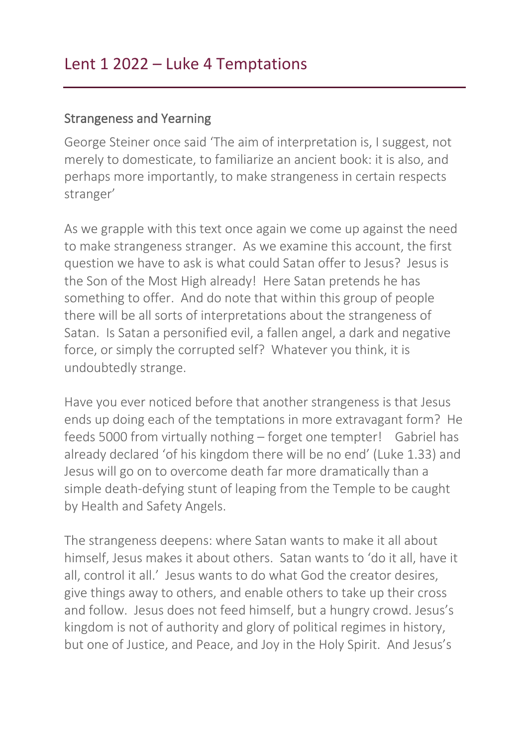## Strangeness and Yearning

George Steiner once said 'The aim of interpretation is, I suggest, not merely to domesticate, to familiarize an ancient book: it is also, and perhaps more importantly, to make strangeness in certain respects stranger'

As we grapple with this text once again we come up against the need to make strangeness stranger. As we examine this account, the first question we have to ask is what could Satan offer to Jesus? Jesus is the Son of the Most High already! Here Satan pretends he has something to offer. And do note that within this group of people there will be all sorts of interpretations about the strangeness of Satan. Is Satan a personified evil, a fallen angel, a dark and negative force, or simply the corrupted self? Whatever you think, it is undoubtedly strange.

Have you ever noticed before that another strangeness is that Jesus ends up doing each of the temptations in more extravagant form? He feeds 5000 from virtually nothing – forget one tempter! Gabriel has already declared 'of his kingdom there will be no end' (Luke 1.33) and Jesus will go on to overcome death far more dramatically than a simple death-defying stunt of leaping from the Temple to be caught by Health and Safety Angels.

The strangeness deepens: where Satan wants to make it all about himself, Jesus makes it about others. Satan wants to 'do it all, have it all, control it all.' Jesus wants to do what God the creator desires, give things away to others, and enable others to take up their cross and follow. Jesus does not feed himself, but a hungry crowd. Jesus's kingdom is not of authority and glory of political regimes in history, but one of Justice, and Peace, and Joy in the Holy Spirit. And Jesus's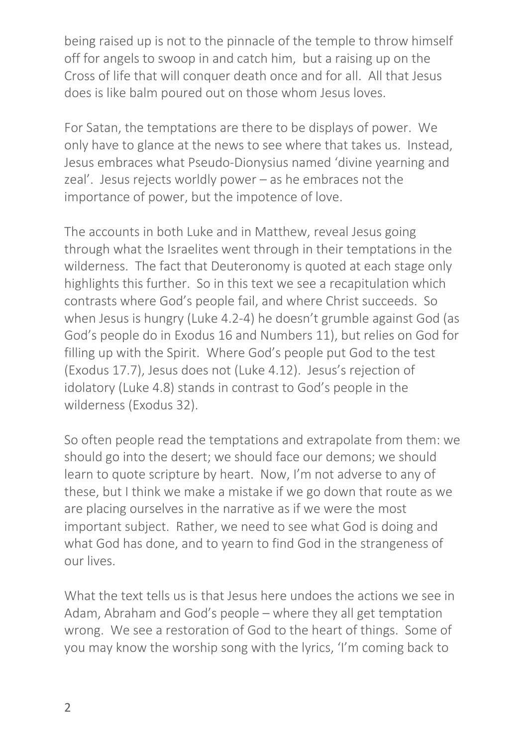being raised up is not to the pinnacle of the temple to throw himself off for angels to swoop in and catch him, but a raising up on the Cross of life that will conquer death once and for all. All that Jesus does is like balm poured out on those whom Jesus loves.

For Satan, the temptations are there to be displays of power. We only have to glance at the news to see where that takes us. Instead, Jesus embraces what Pseudo-Dionysius named 'divine yearning and zeal'. Jesus rejects worldly power – as he embraces not the importance of power, but the impotence of love.

The accounts in both Luke and in Matthew, reveal Jesus going through what the Israelites went through in their temptations in the wilderness. The fact that Deuteronomy is quoted at each stage only highlights this further. So in this text we see a recapitulation which contrasts where God's people fail, and where Christ succeeds. So when Jesus is hungry (Luke 4.2-4) he doesn't grumble against God (as God's people do in Exodus 16 and Numbers 11), but relies on God for filling up with the Spirit. Where God's people put God to the test (Exodus 17.7), Jesus does not (Luke 4.12). Jesus's rejection of idolatory (Luke 4.8) stands in contrast to God's people in the wilderness (Exodus 32).

So often people read the temptations and extrapolate from them: we should go into the desert; we should face our demons; we should learn to quote scripture by heart. Now, I'm not adverse to any of these, but I think we make a mistake if we go down that route as we are placing ourselves in the narrative as if we were the most important subject. Rather, we need to see what God is doing and what God has done, and to yearn to find God in the strangeness of our lives.

What the text tells us is that Jesus here undoes the actions we see in Adam, Abraham and God's people – where they all get temptation wrong. We see a restoration of God to the heart of things. Some of you may know the worship song with the lyrics, 'I'm coming back to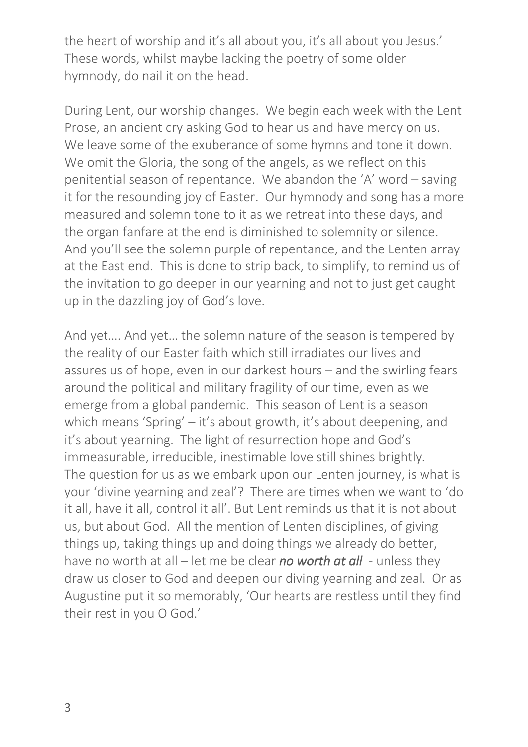the heart of worship and it's all about you, it's all about you Jesus.' These words, whilst maybe lacking the poetry of some older hymnody, do nail it on the head.

During Lent, our worship changes. We begin each week with the Lent Prose, an ancient cry asking God to hear us and have mercy on us. We leave some of the exuberance of some hymns and tone it down. We omit the Gloria, the song of the angels, as we reflect on this penitential season of repentance. We abandon the 'A' word – saving it for the resounding joy of Easter. Our hymnody and song has a more measured and solemn tone to it as we retreat into these days, and the organ fanfare at the end is diminished to solemnity or silence. And you'll see the solemn purple of repentance, and the Lenten array at the East end. This is done to strip back, to simplify, to remind us of the invitation to go deeper in our yearning and not to just get caught up in the dazzling joy of God's love.

And yet…. And yet… the solemn nature of the season is tempered by the reality of our Easter faith which still irradiates our lives and assures us of hope, even in our darkest hours – and the swirling fears around the political and military fragility of our time, even as we emerge from a global pandemic. This season of Lent is a season which means 'Spring' – it's about growth, it's about deepening, and it's about yearning. The light of resurrection hope and God's immeasurable, irreducible, inestimable love still shines brightly. The question for us as we embark upon our Lenten journey, is what is your 'divine yearning and zeal'? There are times when we want to 'do it all, have it all, control it all'. But Lent reminds us that it is not about us, but about God. All the mention of Lenten disciplines, of giving things up, taking things up and doing things we already do better, have no worth at all – let me be clear *no worth at all* - unless they draw us closer to God and deepen our diving yearning and zeal. Or as Augustine put it so memorably, 'Our hearts are restless until they find their rest in you O God.'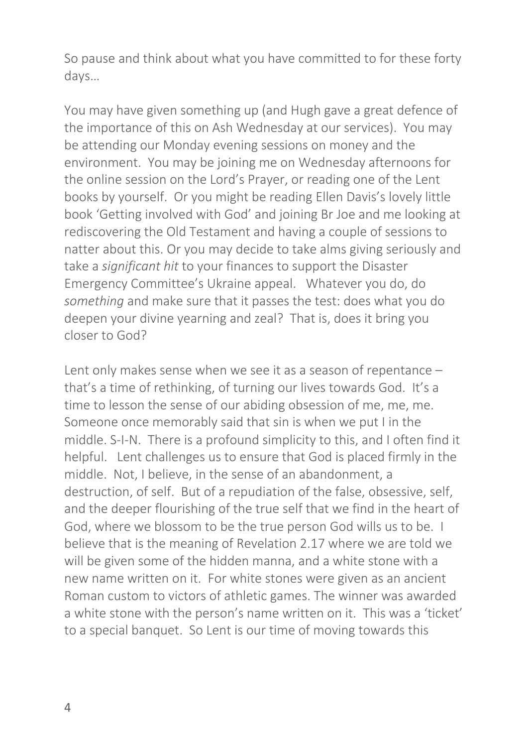So pause and think about what you have committed to for these forty days…

You may have given something up (and Hugh gave a great defence of the importance of this on Ash Wednesday at our services). You may be attending our Monday evening sessions on money and the environment. You may be joining me on Wednesday afternoons for the online session on the Lord's Prayer, or reading one of the Lent books by yourself. Or you might be reading Ellen Davis's lovely little book 'Getting involved with God' and joining Br Joe and me looking at rediscovering the Old Testament and having a couple of sessions to natter about this. Or you may decide to take alms giving seriously and take a *significant hit* to your finances to support the Disaster Emergency Committee's Ukraine appeal. Whatever you do, do *something* and make sure that it passes the test: does what you do deepen your divine yearning and zeal? That is, does it bring you closer to God?

Lent only makes sense when we see it as a season of repentance – that's a time of rethinking, of turning our lives towards God. It's a time to lesson the sense of our abiding obsession of me, me, me. Someone once memorably said that sin is when we put I in the middle. S-I-N. There is a profound simplicity to this, and I often find it helpful. Lent challenges us to ensure that God is placed firmly in the middle. Not, I believe, in the sense of an abandonment, a destruction, of self. But of a repudiation of the false, obsessive, self, and the deeper flourishing of the true self that we find in the heart of God, where we blossom to be the true person God wills us to be. I believe that is the meaning of Revelation 2.17 where we are told we will be given some of the hidden manna, and a white stone with a new name written on it. For white stones were given as an ancient Roman custom to victors of athletic games. The winner was awarded a white stone with the person's name written on it. This was a 'ticket' to a special banquet. So Lent is our time of moving towards this